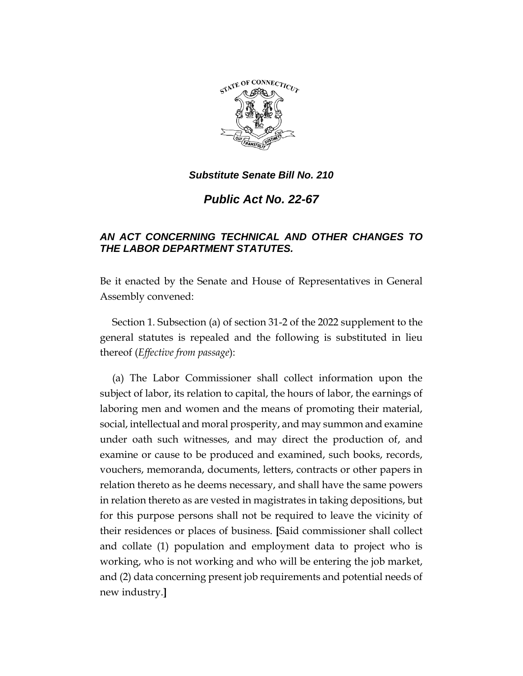

*Public Act No. 22-67*

# *AN ACT CONCERNING TECHNICAL AND OTHER CHANGES TO THE LABOR DEPARTMENT STATUTES.*

Be it enacted by the Senate and House of Representatives in General Assembly convened:

Section 1. Subsection (a) of section 31-2 of the 2022 supplement to the general statutes is repealed and the following is substituted in lieu thereof (*Effective from passage*):

(a) The Labor Commissioner shall collect information upon the subject of labor, its relation to capital, the hours of labor, the earnings of laboring men and women and the means of promoting their material, social, intellectual and moral prosperity, and may summon and examine under oath such witnesses, and may direct the production of, and examine or cause to be produced and examined, such books, records, vouchers, memoranda, documents, letters, contracts or other papers in relation thereto as he deems necessary, and shall have the same powers in relation thereto as are vested in magistrates in taking depositions, but for this purpose persons shall not be required to leave the vicinity of their residences or places of business. **[**Said commissioner shall collect and collate (1) population and employment data to project who is working, who is not working and who will be entering the job market, and (2) data concerning present job requirements and potential needs of new industry.**]**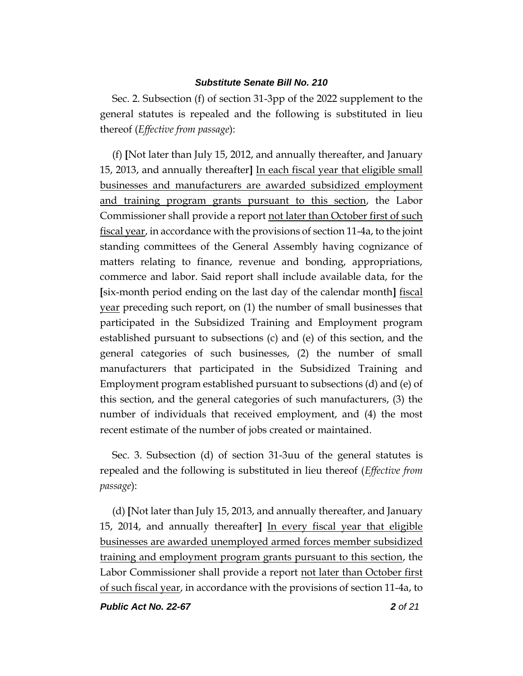Sec. 2. Subsection (f) of section 31-3pp of the 2022 supplement to the general statutes is repealed and the following is substituted in lieu thereof (*Effective from passage*):

(f) **[**Not later than July 15, 2012, and annually thereafter, and January 15, 2013, and annually thereafter**]** In each fiscal year that eligible small businesses and manufacturers are awarded subsidized employment and training program grants pursuant to this section, the Labor Commissioner shall provide a report not later than October first of such fiscal year, in accordance with the provisions of section 11-4a, to the joint standing committees of the General Assembly having cognizance of matters relating to finance, revenue and bonding, appropriations, commerce and labor. Said report shall include available data, for the **[**six-month period ending on the last day of the calendar month**]** fiscal year preceding such report, on (1) the number of small businesses that participated in the Subsidized Training and Employment program established pursuant to subsections (c) and (e) of this section, and the general categories of such businesses, (2) the number of small manufacturers that participated in the Subsidized Training and Employment program established pursuant to subsections (d) and (e) of this section, and the general categories of such manufacturers, (3) the number of individuals that received employment, and (4) the most recent estimate of the number of jobs created or maintained.

Sec. 3. Subsection (d) of section 31-3uu of the general statutes is repealed and the following is substituted in lieu thereof (*Effective from passage*):

(d) **[**Not later than July 15, 2013, and annually thereafter, and January 15, 2014, and annually thereafter**]** In every fiscal year that eligible businesses are awarded unemployed armed forces member subsidized training and employment program grants pursuant to this section, the Labor Commissioner shall provide a report not later than October first of such fiscal year, in accordance with the provisions of section 11-4a, to

*Public Act No. 22-67 2 of 21*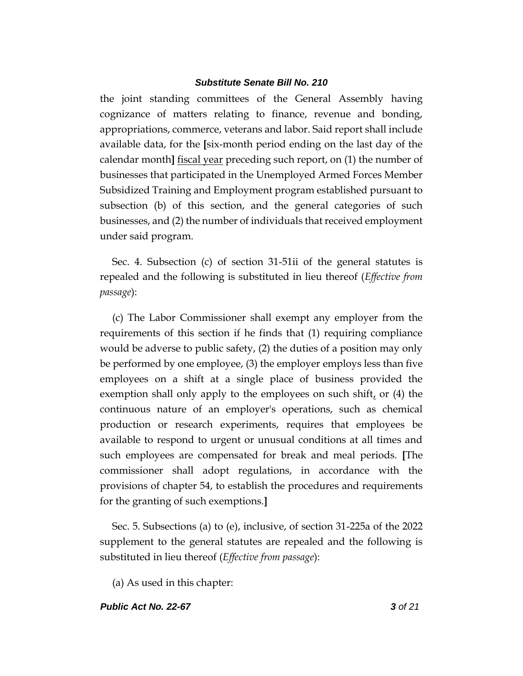the joint standing committees of the General Assembly having cognizance of matters relating to finance, revenue and bonding, appropriations, commerce, veterans and labor. Said report shall include available data, for the **[**six-month period ending on the last day of the calendar month**]** fiscal year preceding such report, on (1) the number of businesses that participated in the Unemployed Armed Forces Member Subsidized Training and Employment program established pursuant to subsection (b) of this section, and the general categories of such businesses, and (2) the number of individuals that received employment under said program.

Sec. 4. Subsection (c) of section 31-51ii of the general statutes is repealed and the following is substituted in lieu thereof (*Effective from passage*):

(c) The Labor Commissioner shall exempt any employer from the requirements of this section if he finds that (1) requiring compliance would be adverse to public safety, (2) the duties of a position may only be performed by one employee, (3) the employer employs less than five employees on a shift at a single place of business provided the exemption shall only apply to the employees on such shift, or (4) the continuous nature of an employer's operations, such as chemical production or research experiments, requires that employees be available to respond to urgent or unusual conditions at all times and such employees are compensated for break and meal periods. **[**The commissioner shall adopt regulations, in accordance with the provisions of chapter 54, to establish the procedures and requirements for the granting of such exemptions.**]**

Sec. 5. Subsections (a) to (e), inclusive, of section 31-225a of the 2022 supplement to the general statutes are repealed and the following is substituted in lieu thereof (*Effective from passage*):

(a) As used in this chapter:

#### *Public Act No. 22-67 3 of 21*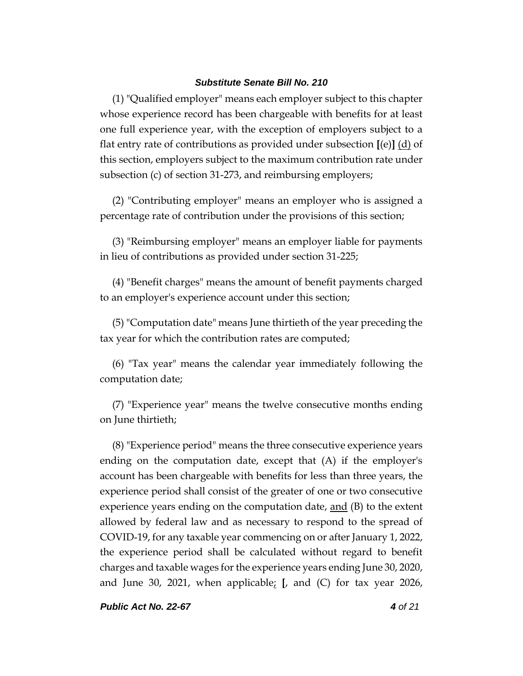(1) "Qualified employer" means each employer subject to this chapter whose experience record has been chargeable with benefits for at least one full experience year, with the exception of employers subject to a flat entry rate of contributions as provided under subsection **[**(e)**]** (d) of this section, employers subject to the maximum contribution rate under subsection (c) of section 31-273, and reimbursing employers;

(2) "Contributing employer" means an employer who is assigned a percentage rate of contribution under the provisions of this section;

(3) "Reimbursing employer" means an employer liable for payments in lieu of contributions as provided under section 31-225;

(4) "Benefit charges" means the amount of benefit payments charged to an employer's experience account under this section;

(5) "Computation date" means June thirtieth of the year preceding the tax year for which the contribution rates are computed;

(6) "Tax year" means the calendar year immediately following the computation date;

(7) "Experience year" means the twelve consecutive months ending on June thirtieth;

(8) "Experience period" means the three consecutive experience years ending on the computation date, except that (A) if the employer's account has been chargeable with benefits for less than three years, the experience period shall consist of the greater of one or two consecutive experience years ending on the computation date,  $\text{and}$  (B) to the extent allowed by federal law and as necessary to respond to the spread of COVID-19, for any taxable year commencing on or after January 1, 2022, the experience period shall be calculated without regard to benefit charges and taxable wages for the experience years ending June 30, 2020, and June 30, 2021, when applicable; **[**, and (C) for tax year 2026,

*Public Act No. 22-67 4 of 21*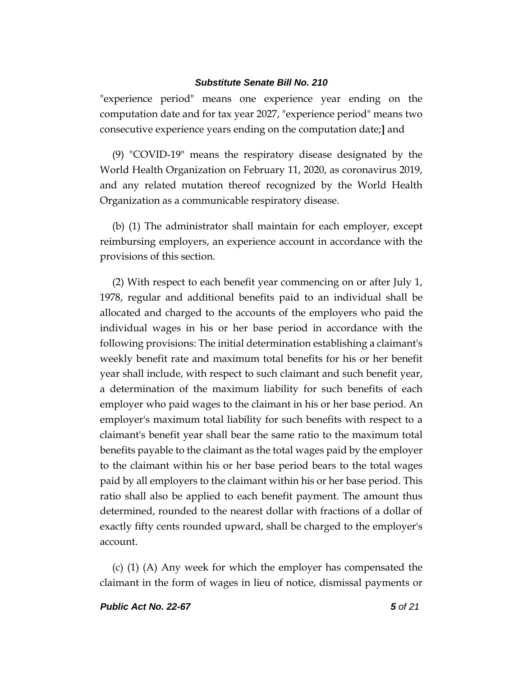"experience period" means one experience year ending on the computation date and for tax year 2027, "experience period" means two consecutive experience years ending on the computation date;**]** and

(9) "COVID-19" means the respiratory disease designated by the World Health Organization on February 11, 2020, as coronavirus 2019, and any related mutation thereof recognized by the World Health Organization as a communicable respiratory disease.

(b) (1) The administrator shall maintain for each employer, except reimbursing employers, an experience account in accordance with the provisions of this section.

(2) With respect to each benefit year commencing on or after July 1, 1978, regular and additional benefits paid to an individual shall be allocated and charged to the accounts of the employers who paid the individual wages in his or her base period in accordance with the following provisions: The initial determination establishing a claimant's weekly benefit rate and maximum total benefits for his or her benefit year shall include, with respect to such claimant and such benefit year, a determination of the maximum liability for such benefits of each employer who paid wages to the claimant in his or her base period. An employer's maximum total liability for such benefits with respect to a claimant's benefit year shall bear the same ratio to the maximum total benefits payable to the claimant as the total wages paid by the employer to the claimant within his or her base period bears to the total wages paid by all employers to the claimant within his or her base period. This ratio shall also be applied to each benefit payment. The amount thus determined, rounded to the nearest dollar with fractions of a dollar of exactly fifty cents rounded upward, shall be charged to the employer's account.

(c) (1) (A) Any week for which the employer has compensated the claimant in the form of wages in lieu of notice, dismissal payments or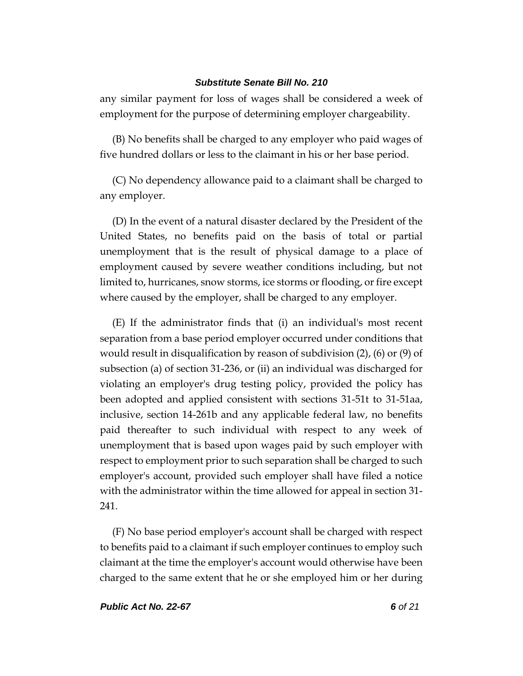any similar payment for loss of wages shall be considered a week of employment for the purpose of determining employer chargeability.

(B) No benefits shall be charged to any employer who paid wages of five hundred dollars or less to the claimant in his or her base period.

(C) No dependency allowance paid to a claimant shall be charged to any employer.

(D) In the event of a natural disaster declared by the President of the United States, no benefits paid on the basis of total or partial unemployment that is the result of physical damage to a place of employment caused by severe weather conditions including, but not limited to, hurricanes, snow storms, ice storms or flooding, or fire except where caused by the employer, shall be charged to any employer.

(E) If the administrator finds that (i) an individual's most recent separation from a base period employer occurred under conditions that would result in disqualification by reason of subdivision (2), (6) or (9) of subsection (a) of section 31-236, or (ii) an individual was discharged for violating an employer's drug testing policy, provided the policy has been adopted and applied consistent with sections 31-51t to 31-51aa, inclusive, section 14-261b and any applicable federal law, no benefits paid thereafter to such individual with respect to any week of unemployment that is based upon wages paid by such employer with respect to employment prior to such separation shall be charged to such employer's account, provided such employer shall have filed a notice with the administrator within the time allowed for appeal in section 31- 241.

(F) No base period employer's account shall be charged with respect to benefits paid to a claimant if such employer continues to employ such claimant at the time the employer's account would otherwise have been charged to the same extent that he or she employed him or her during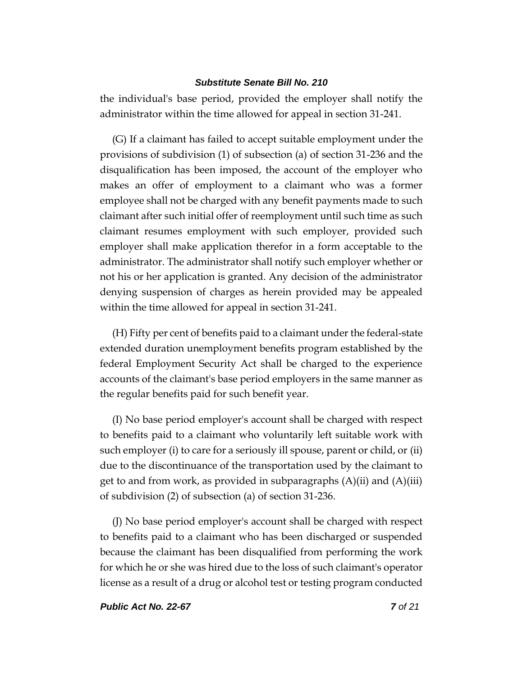the individual's base period, provided the employer shall notify the administrator within the time allowed for appeal in section 31-241.

(G) If a claimant has failed to accept suitable employment under the provisions of subdivision (1) of subsection (a) of section 31-236 and the disqualification has been imposed, the account of the employer who makes an offer of employment to a claimant who was a former employee shall not be charged with any benefit payments made to such claimant after such initial offer of reemployment until such time as such claimant resumes employment with such employer, provided such employer shall make application therefor in a form acceptable to the administrator. The administrator shall notify such employer whether or not his or her application is granted. Any decision of the administrator denying suspension of charges as herein provided may be appealed within the time allowed for appeal in section 31-241.

(H) Fifty per cent of benefits paid to a claimant under the federal-state extended duration unemployment benefits program established by the federal Employment Security Act shall be charged to the experience accounts of the claimant's base period employers in the same manner as the regular benefits paid for such benefit year.

(I) No base period employer's account shall be charged with respect to benefits paid to a claimant who voluntarily left suitable work with such employer (i) to care for a seriously ill spouse, parent or child, or (ii) due to the discontinuance of the transportation used by the claimant to get to and from work, as provided in subparagraphs  $(A)(ii)$  and  $(A)(iii)$ of subdivision (2) of subsection (a) of section 31-236.

(J) No base period employer's account shall be charged with respect to benefits paid to a claimant who has been discharged or suspended because the claimant has been disqualified from performing the work for which he or she was hired due to the loss of such claimant's operator license as a result of a drug or alcohol test or testing program conducted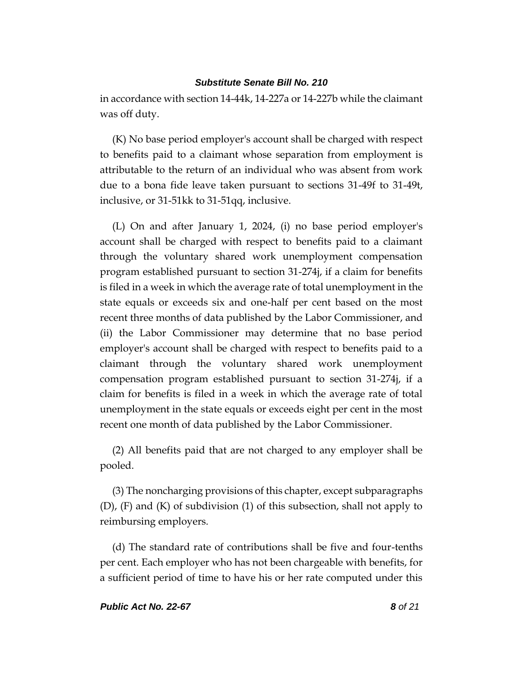in accordance with section 14-44k, 14-227a or 14-227b while the claimant was off duty.

(K) No base period employer's account shall be charged with respect to benefits paid to a claimant whose separation from employment is attributable to the return of an individual who was absent from work due to a bona fide leave taken pursuant to sections 31-49f to 31-49t, inclusive, or 31-51kk to 31-51qq, inclusive.

(L) On and after January 1, 2024, (i) no base period employer's account shall be charged with respect to benefits paid to a claimant through the voluntary shared work unemployment compensation program established pursuant to section 31-274j, if a claim for benefits is filed in a week in which the average rate of total unemployment in the state equals or exceeds six and one-half per cent based on the most recent three months of data published by the Labor Commissioner, and (ii) the Labor Commissioner may determine that no base period employer's account shall be charged with respect to benefits paid to a claimant through the voluntary shared work unemployment compensation program established pursuant to section 31-274j, if a claim for benefits is filed in a week in which the average rate of total unemployment in the state equals or exceeds eight per cent in the most recent one month of data published by the Labor Commissioner.

(2) All benefits paid that are not charged to any employer shall be pooled.

(3) The noncharging provisions of this chapter, except subparagraphs (D), (F) and (K) of subdivision (1) of this subsection, shall not apply to reimbursing employers.

(d) The standard rate of contributions shall be five and four-tenths per cent. Each employer who has not been chargeable with benefits, for a sufficient period of time to have his or her rate computed under this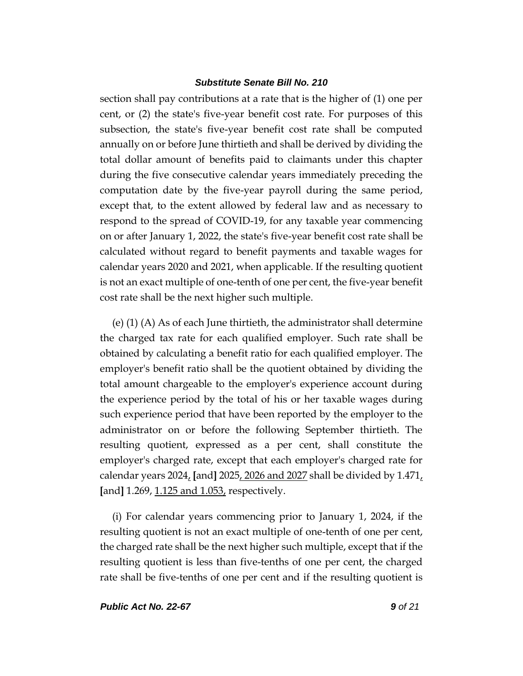section shall pay contributions at a rate that is the higher of (1) one per cent, or (2) the state's five-year benefit cost rate. For purposes of this subsection, the state's five-year benefit cost rate shall be computed annually on or before June thirtieth and shall be derived by dividing the total dollar amount of benefits paid to claimants under this chapter during the five consecutive calendar years immediately preceding the computation date by the five-year payroll during the same period, except that, to the extent allowed by federal law and as necessary to respond to the spread of COVID-19, for any taxable year commencing on or after January 1, 2022, the state's five-year benefit cost rate shall be calculated without regard to benefit payments and taxable wages for calendar years 2020 and 2021, when applicable. If the resulting quotient is not an exact multiple of one-tenth of one per cent, the five-year benefit cost rate shall be the next higher such multiple.

(e) (1) (A) As of each June thirtieth, the administrator shall determine the charged tax rate for each qualified employer. Such rate shall be obtained by calculating a benefit ratio for each qualified employer. The employer's benefit ratio shall be the quotient obtained by dividing the total amount chargeable to the employer's experience account during the experience period by the total of his or her taxable wages during such experience period that have been reported by the employer to the administrator on or before the following September thirtieth. The resulting quotient, expressed as a per cent, shall constitute the employer's charged rate, except that each employer's charged rate for calendar years 2024, **[**and**]** 2025, 2026 and 2027 shall be divided by 1.471, **[**and**]** 1.269, 1.125 and 1.053, respectively.

(i) For calendar years commencing prior to January 1, 2024, if the resulting quotient is not an exact multiple of one-tenth of one per cent, the charged rate shall be the next higher such multiple, except that if the resulting quotient is less than five-tenths of one per cent, the charged rate shall be five-tenths of one per cent and if the resulting quotient is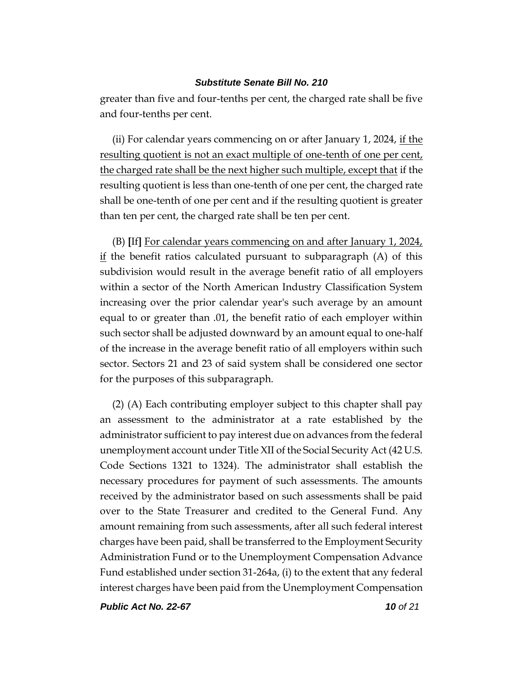greater than five and four-tenths per cent, the charged rate shall be five and four-tenths per cent.

(ii) For calendar years commencing on or after January 1, 2024, if the resulting quotient is not an exact multiple of one-tenth of one per cent, the charged rate shall be the next higher such multiple, except that if the resulting quotient is less than one-tenth of one per cent, the charged rate shall be one-tenth of one per cent and if the resulting quotient is greater than ten per cent, the charged rate shall be ten per cent.

(B) **[**If**]** For calendar years commencing on and after January 1, 2024,  $\underline{\text{if}}$  the benefit ratios calculated pursuant to subparagraph (A) of this subdivision would result in the average benefit ratio of all employers within a sector of the North American Industry Classification System increasing over the prior calendar year's such average by an amount equal to or greater than .01, the benefit ratio of each employer within such sector shall be adjusted downward by an amount equal to one-half of the increase in the average benefit ratio of all employers within such sector. Sectors 21 and 23 of said system shall be considered one sector for the purposes of this subparagraph.

(2) (A) Each contributing employer subject to this chapter shall pay an assessment to the administrator at a rate established by the administrator sufficient to pay interest due on advances from the federal unemployment account under Title XII of the Social Security Act (42 U.S. Code Sections 1321 to 1324). The administrator shall establish the necessary procedures for payment of such assessments. The amounts received by the administrator based on such assessments shall be paid over to the State Treasurer and credited to the General Fund. Any amount remaining from such assessments, after all such federal interest charges have been paid, shall be transferred to the Employment Security Administration Fund or to the Unemployment Compensation Advance Fund established under section 31-264a, (i) to the extent that any federal interest charges have been paid from the Unemployment Compensation

*Public Act No. 22-67 10 of 21*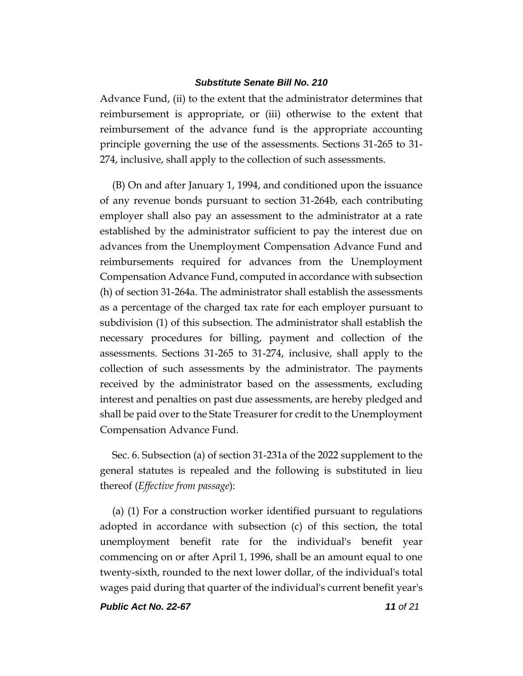Advance Fund, (ii) to the extent that the administrator determines that reimbursement is appropriate, or (iii) otherwise to the extent that reimbursement of the advance fund is the appropriate accounting principle governing the use of the assessments. Sections 31-265 to 31- 274, inclusive, shall apply to the collection of such assessments.

(B) On and after January 1, 1994, and conditioned upon the issuance of any revenue bonds pursuant to section 31-264b, each contributing employer shall also pay an assessment to the administrator at a rate established by the administrator sufficient to pay the interest due on advances from the Unemployment Compensation Advance Fund and reimbursements required for advances from the Unemployment Compensation Advance Fund, computed in accordance with subsection (h) of section 31-264a. The administrator shall establish the assessments as a percentage of the charged tax rate for each employer pursuant to subdivision (1) of this subsection. The administrator shall establish the necessary procedures for billing, payment and collection of the assessments. Sections 31-265 to 31-274, inclusive, shall apply to the collection of such assessments by the administrator. The payments received by the administrator based on the assessments, excluding interest and penalties on past due assessments, are hereby pledged and shall be paid over to the State Treasurer for credit to the Unemployment Compensation Advance Fund.

Sec. 6. Subsection (a) of section 31-231a of the 2022 supplement to the general statutes is repealed and the following is substituted in lieu thereof (*Effective from passage*):

(a) (1) For a construction worker identified pursuant to regulations adopted in accordance with subsection (c) of this section, the total unemployment benefit rate for the individual's benefit year commencing on or after April 1, 1996, shall be an amount equal to one twenty-sixth, rounded to the next lower dollar, of the individual's total wages paid during that quarter of the individual's current benefit year's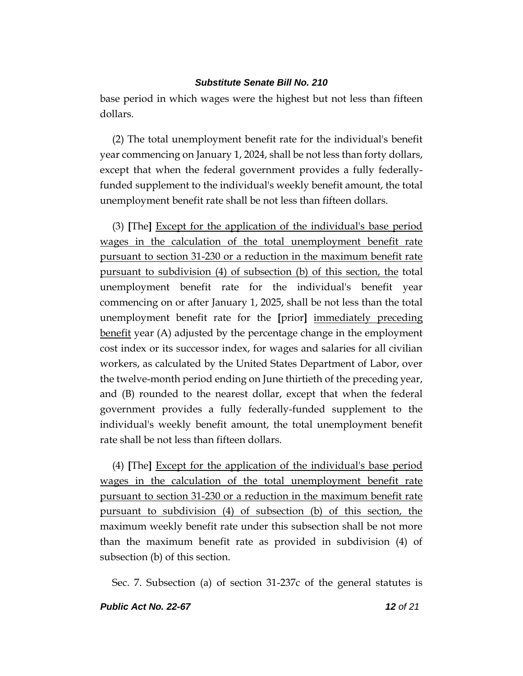base period in which wages were the highest but not less than fifteen dollars.

(2) The total unemployment benefit rate for the individual's benefit year commencing on January 1, 2024, shall be not less than forty dollars, except that when the federal government provides a fully federallyfunded supplement to the individual's weekly benefit amount, the total unemployment benefit rate shall be not less than fifteen dollars.

(3) **[**The**]** Except for the application of the individual's base period wages in the calculation of the total unemployment benefit rate pursuant to section 31-230 or a reduction in the maximum benefit rate pursuant to subdivision (4) of subsection (b) of this section, the total unemployment benefit rate for the individual's benefit year commencing on or after January 1, 2025, shall be not less than the total unemployment benefit rate for the **[**prior**]** immediately preceding benefit year (A) adjusted by the percentage change in the employment cost index or its successor index, for wages and salaries for all civilian workers, as calculated by the United States Department of Labor, over the twelve-month period ending on June thirtieth of the preceding year, and (B) rounded to the nearest dollar, except that when the federal government provides a fully federally-funded supplement to the individual's weekly benefit amount, the total unemployment benefit rate shall be not less than fifteen dollars.

(4) **[**The**]** Except for the application of the individual's base period wages in the calculation of the total unemployment benefit rate pursuant to section 31-230 or a reduction in the maximum benefit rate pursuant to subdivision (4) of subsection (b) of this section, the maximum weekly benefit rate under this subsection shall be not more than the maximum benefit rate as provided in subdivision (4) of subsection (b) of this section.

Sec. 7. Subsection (a) of section 31-237c of the general statutes is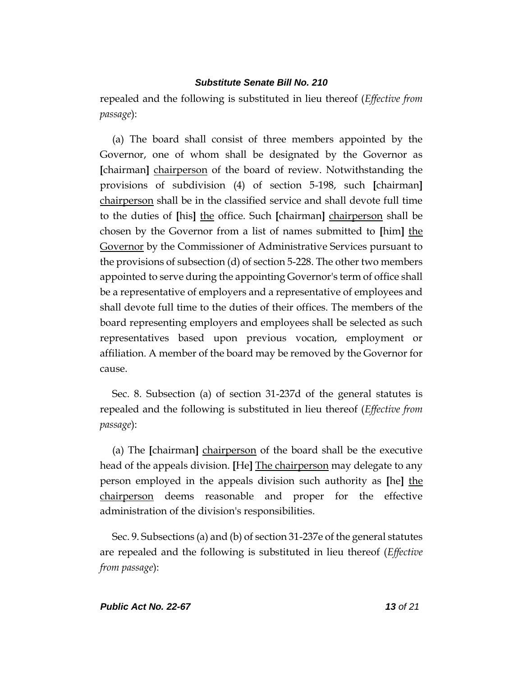repealed and the following is substituted in lieu thereof (*Effective from passage*):

(a) The board shall consist of three members appointed by the Governor, one of whom shall be designated by the Governor as **[**chairman**]** chairperson of the board of review. Notwithstanding the provisions of subdivision (4) of section 5-198, such **[**chairman**]** chairperson shall be in the classified service and shall devote full time to the duties of **[**his**]** the office. Such **[**chairman**]** chairperson shall be chosen by the Governor from a list of names submitted to **[**him**]** the Governor by the Commissioner of Administrative Services pursuant to the provisions of subsection (d) of section 5-228. The other two members appointed to serve during the appointing Governor's term of office shall be a representative of employers and a representative of employees and shall devote full time to the duties of their offices. The members of the board representing employers and employees shall be selected as such representatives based upon previous vocation, employment or affiliation. A member of the board may be removed by the Governor for cause.

Sec. 8. Subsection (a) of section 31-237d of the general statutes is repealed and the following is substituted in lieu thereof (*Effective from passage*):

(a) The **[**chairman**]** chairperson of the board shall be the executive head of the appeals division. **[**He**]** The chairperson may delegate to any person employed in the appeals division such authority as **[**he**]** the chairperson deems reasonable and proper for the effective administration of the division's responsibilities.

Sec. 9. Subsections (a) and (b) of section 31-237e of the general statutes are repealed and the following is substituted in lieu thereof (*Effective from passage*):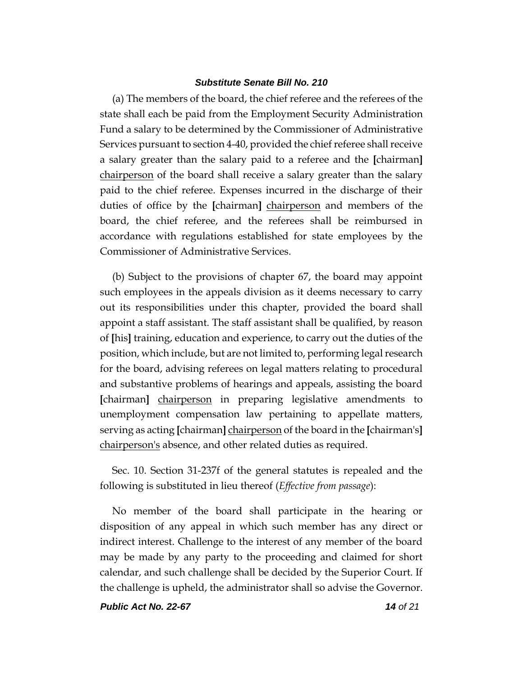(a) The members of the board, the chief referee and the referees of the state shall each be paid from the Employment Security Administration Fund a salary to be determined by the Commissioner of Administrative Services pursuant to section 4-40, provided the chief referee shall receive a salary greater than the salary paid to a referee and the **[**chairman**]** chairperson of the board shall receive a salary greater than the salary paid to the chief referee. Expenses incurred in the discharge of their duties of office by the **[**chairman**]** chairperson and members of the board, the chief referee, and the referees shall be reimbursed in accordance with regulations established for state employees by the Commissioner of Administrative Services.

(b) Subject to the provisions of chapter 67, the board may appoint such employees in the appeals division as it deems necessary to carry out its responsibilities under this chapter, provided the board shall appoint a staff assistant. The staff assistant shall be qualified, by reason of **[**his**]** training, education and experience, to carry out the duties of the position, which include, but are not limited to, performing legal research for the board, advising referees on legal matters relating to procedural and substantive problems of hearings and appeals, assisting the board **[**chairman**]** chairperson in preparing legislative amendments to unemployment compensation law pertaining to appellate matters, serving as acting **[**chairman**]** chairperson of the board in the **[**chairman's**]** chairperson's absence, and other related duties as required.

Sec. 10. Section 31-237f of the general statutes is repealed and the following is substituted in lieu thereof (*Effective from passage*):

No member of the board shall participate in the hearing or disposition of any appeal in which such member has any direct or indirect interest. Challenge to the interest of any member of the board may be made by any party to the proceeding and claimed for short calendar, and such challenge shall be decided by the Superior Court. If the challenge is upheld, the administrator shall so advise the Governor.

*Public Act No. 22-67 14 of 21*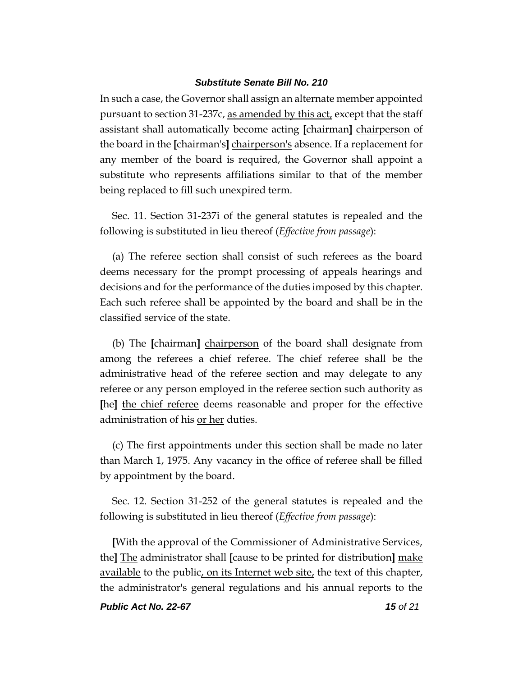In such a case, the Governor shall assign an alternate member appointed pursuant to section 31-237c, as amended by this act, except that the staff assistant shall automatically become acting **[**chairman**]** chairperson of the board in the **[**chairman's**]** chairperson's absence. If a replacement for any member of the board is required, the Governor shall appoint a substitute who represents affiliations similar to that of the member being replaced to fill such unexpired term.

Sec. 11. Section 31-237i of the general statutes is repealed and the following is substituted in lieu thereof (*Effective from passage*):

(a) The referee section shall consist of such referees as the board deems necessary for the prompt processing of appeals hearings and decisions and for the performance of the duties imposed by this chapter. Each such referee shall be appointed by the board and shall be in the classified service of the state.

(b) The **[**chairman**]** chairperson of the board shall designate from among the referees a chief referee. The chief referee shall be the administrative head of the referee section and may delegate to any referee or any person employed in the referee section such authority as **[**he**]** the chief referee deems reasonable and proper for the effective administration of his or her duties.

(c) The first appointments under this section shall be made no later than March 1, 1975. Any vacancy in the office of referee shall be filled by appointment by the board.

Sec. 12. Section 31-252 of the general statutes is repealed and the following is substituted in lieu thereof (*Effective from passage*):

**[**With the approval of the Commissioner of Administrative Services, the**]** The administrator shall **[**cause to be printed for distribution**]** make available to the public, on its Internet web site, the text of this chapter, the administrator's general regulations and his annual reports to the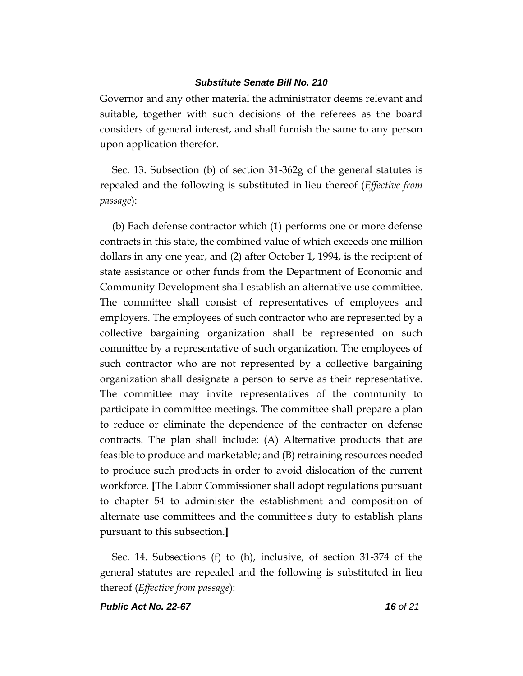Governor and any other material the administrator deems relevant and suitable, together with such decisions of the referees as the board considers of general interest, and shall furnish the same to any person upon application therefor.

Sec. 13. Subsection (b) of section 31-362g of the general statutes is repealed and the following is substituted in lieu thereof (*Effective from passage*):

(b) Each defense contractor which (1) performs one or more defense contracts in this state, the combined value of which exceeds one million dollars in any one year, and (2) after October 1, 1994, is the recipient of state assistance or other funds from the Department of Economic and Community Development shall establish an alternative use committee. The committee shall consist of representatives of employees and employers. The employees of such contractor who are represented by a collective bargaining organization shall be represented on such committee by a representative of such organization. The employees of such contractor who are not represented by a collective bargaining organization shall designate a person to serve as their representative. The committee may invite representatives of the community to participate in committee meetings. The committee shall prepare a plan to reduce or eliminate the dependence of the contractor on defense contracts. The plan shall include: (A) Alternative products that are feasible to produce and marketable; and (B) retraining resources needed to produce such products in order to avoid dislocation of the current workforce. **[**The Labor Commissioner shall adopt regulations pursuant to chapter 54 to administer the establishment and composition of alternate use committees and the committee's duty to establish plans pursuant to this subsection.**]**

Sec. 14. Subsections (f) to (h), inclusive, of section 31-374 of the general statutes are repealed and the following is substituted in lieu thereof (*Effective from passage*):

*Public Act No. 22-67 16 of 21*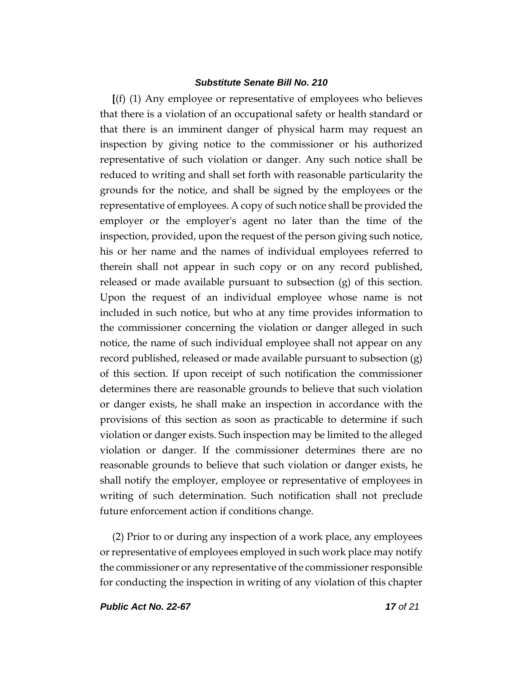**[**(f) (1) Any employee or representative of employees who believes that there is a violation of an occupational safety or health standard or that there is an imminent danger of physical harm may request an inspection by giving notice to the commissioner or his authorized representative of such violation or danger. Any such notice shall be reduced to writing and shall set forth with reasonable particularity the grounds for the notice, and shall be signed by the employees or the representative of employees. A copy of such notice shall be provided the employer or the employer's agent no later than the time of the inspection, provided, upon the request of the person giving such notice, his or her name and the names of individual employees referred to therein shall not appear in such copy or on any record published, released or made available pursuant to subsection  $(g)$  of this section. Upon the request of an individual employee whose name is not included in such notice, but who at any time provides information to the commissioner concerning the violation or danger alleged in such notice, the name of such individual employee shall not appear on any record published, released or made available pursuant to subsection (g) of this section. If upon receipt of such notification the commissioner determines there are reasonable grounds to believe that such violation or danger exists, he shall make an inspection in accordance with the provisions of this section as soon as practicable to determine if such violation or danger exists. Such inspection may be limited to the alleged violation or danger. If the commissioner determines there are no reasonable grounds to believe that such violation or danger exists, he shall notify the employer, employee or representative of employees in writing of such determination. Such notification shall not preclude future enforcement action if conditions change.

(2) Prior to or during any inspection of a work place, any employees or representative of employees employed in such work place may notify the commissioner or any representative of the commissioner responsible for conducting the inspection in writing of any violation of this chapter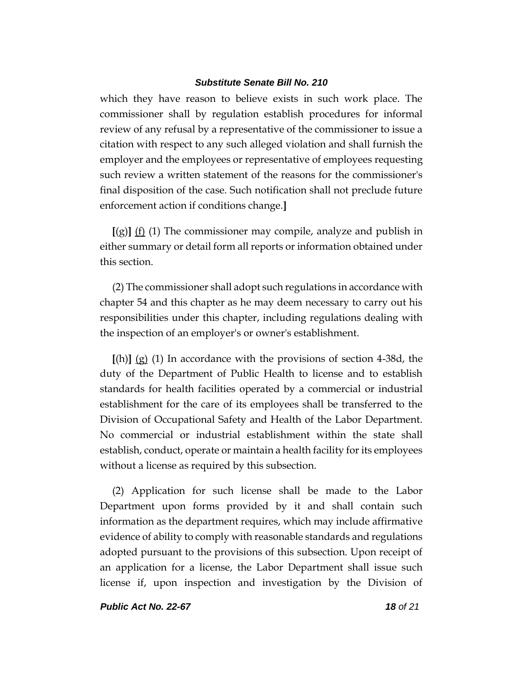which they have reason to believe exists in such work place. The commissioner shall by regulation establish procedures for informal review of any refusal by a representative of the commissioner to issue a citation with respect to any such alleged violation and shall furnish the employer and the employees or representative of employees requesting such review a written statement of the reasons for the commissioner's final disposition of the case. Such notification shall not preclude future enforcement action if conditions change.**]**

**[**(g)**]** (f) (1) The commissioner may compile, analyze and publish in either summary or detail form all reports or information obtained under this section.

(2) The commissioner shall adopt such regulations in accordance with chapter 54 and this chapter as he may deem necessary to carry out his responsibilities under this chapter, including regulations dealing with the inspection of an employer's or owner's establishment.

**[**(h)**]** (g) (1) In accordance with the provisions of section 4-38d, the duty of the Department of Public Health to license and to establish standards for health facilities operated by a commercial or industrial establishment for the care of its employees shall be transferred to the Division of Occupational Safety and Health of the Labor Department. No commercial or industrial establishment within the state shall establish, conduct, operate or maintain a health facility for its employees without a license as required by this subsection.

(2) Application for such license shall be made to the Labor Department upon forms provided by it and shall contain such information as the department requires, which may include affirmative evidence of ability to comply with reasonable standards and regulations adopted pursuant to the provisions of this subsection. Upon receipt of an application for a license, the Labor Department shall issue such license if, upon inspection and investigation by the Division of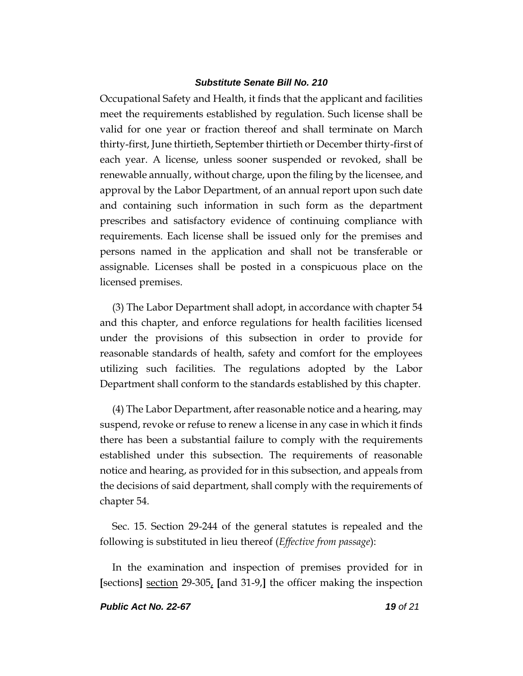Occupational Safety and Health, it finds that the applicant and facilities meet the requirements established by regulation. Such license shall be valid for one year or fraction thereof and shall terminate on March thirty-first, June thirtieth, September thirtieth or December thirty-first of each year. A license, unless sooner suspended or revoked, shall be renewable annually, without charge, upon the filing by the licensee, and approval by the Labor Department, of an annual report upon such date and containing such information in such form as the department prescribes and satisfactory evidence of continuing compliance with requirements. Each license shall be issued only for the premises and persons named in the application and shall not be transferable or assignable. Licenses shall be posted in a conspicuous place on the licensed premises.

(3) The Labor Department shall adopt, in accordance with chapter 54 and this chapter, and enforce regulations for health facilities licensed under the provisions of this subsection in order to provide for reasonable standards of health, safety and comfort for the employees utilizing such facilities. The regulations adopted by the Labor Department shall conform to the standards established by this chapter.

(4) The Labor Department, after reasonable notice and a hearing, may suspend, revoke or refuse to renew a license in any case in which it finds there has been a substantial failure to comply with the requirements established under this subsection. The requirements of reasonable notice and hearing, as provided for in this subsection, and appeals from the decisions of said department, shall comply with the requirements of chapter 54.

Sec. 15. Section 29-244 of the general statutes is repealed and the following is substituted in lieu thereof (*Effective from passage*):

In the examination and inspection of premises provided for in **[**sections**]** section 29-305, **[**and 31-9,**]** the officer making the inspection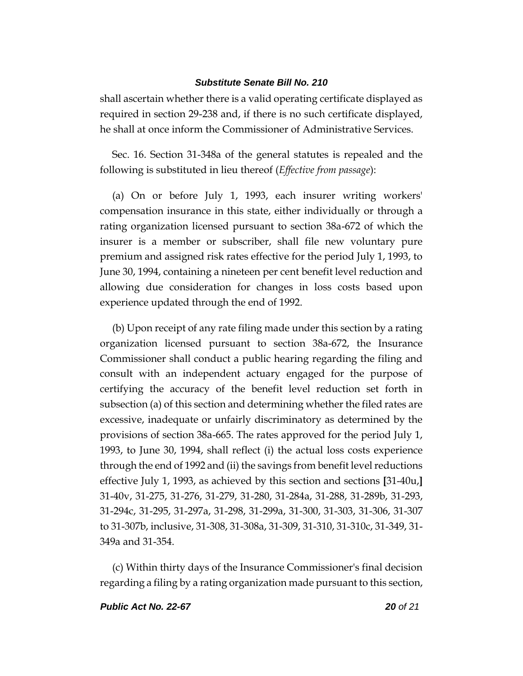shall ascertain whether there is a valid operating certificate displayed as required in section 29-238 and, if there is no such certificate displayed, he shall at once inform the Commissioner of Administrative Services.

Sec. 16. Section 31-348a of the general statutes is repealed and the following is substituted in lieu thereof (*Effective from passage*):

(a) On or before July 1, 1993, each insurer writing workers' compensation insurance in this state, either individually or through a rating organization licensed pursuant to section 38a-672 of which the insurer is a member or subscriber, shall file new voluntary pure premium and assigned risk rates effective for the period July 1, 1993, to June 30, 1994, containing a nineteen per cent benefit level reduction and allowing due consideration for changes in loss costs based upon experience updated through the end of 1992.

(b) Upon receipt of any rate filing made under this section by a rating organization licensed pursuant to section 38a-672, the Insurance Commissioner shall conduct a public hearing regarding the filing and consult with an independent actuary engaged for the purpose of certifying the accuracy of the benefit level reduction set forth in subsection (a) of this section and determining whether the filed rates are excessive, inadequate or unfairly discriminatory as determined by the provisions of section 38a-665. The rates approved for the period July 1, 1993, to June 30, 1994, shall reflect (i) the actual loss costs experience through the end of 1992 and (ii) the savings from benefit level reductions effective July 1, 1993, as achieved by this section and sections **[**31-40u,**]** 31-40v, 31-275, 31-276, 31-279, 31-280, 31-284a, 31-288, 31-289b, 31-293, 31-294c, 31-295, 31-297a, 31-298, 31-299a, 31-300, 31-303, 31-306, 31-307 to 31-307b, inclusive, 31-308, 31-308a, 31-309, 31-310, 31-310c, 31-349, 31- 349a and 31-354.

(c) Within thirty days of the Insurance Commissioner's final decision regarding a filing by a rating organization made pursuant to this section,